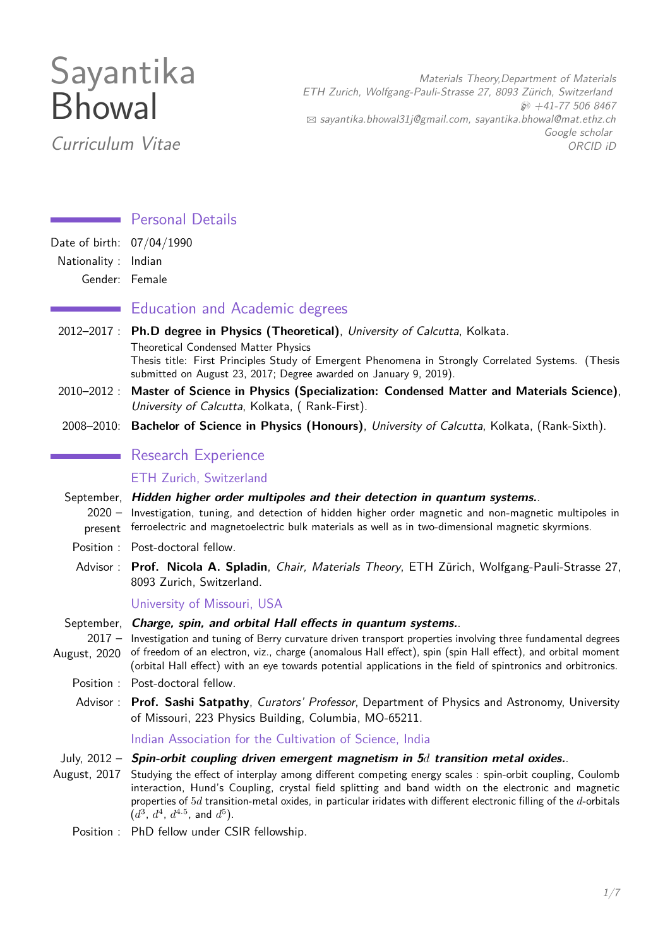# Sayantika Bhowal

Curriculum Vitae

Materials Theory,Department of Materials ETH Zurich, Wolfgang-Pauli-Strasse 27, 8093 Zürich, Switzerland  $$41-775068467$  $\boxtimes$  [sayantika.bhowal31j@gmail.com, sayantika.bhowal@mat.ethz.ch](mailto:sayantika.bhowal31j@gmail.com, sayantika.bhowal@mat.ethz.ch) [Google scholar](https://scholar.google.com/citations?user=KEbHeN0AAAAJ) [ORCID iD](https://orcid.org/0000-0002-4134-7540)

## **Personal Details**

Date of birth: 07/04/1990

Nationality : Indian

Gender: Female

## Education and Academic degrees

- 2012–2017 : **Ph.D degree in Physics (Theoretical)**, University of Calcutta, Kolkata. Theoretical Condensed Matter Physics Thesis title: First Principles Study of Emergent Phenomena in Strongly Correlated Systems. (Thesis submitted on August 23, 2017; Degree awarded on January 9, 2019).
- 2010–2012 : **Master of Science in Physics (Specialization: Condensed Matter and Materials Science)**, University of Calcutta, Kolkata, ( Rank-First).
- 2008–2010: **Bachelor of Science in Physics (Honours)**, University of Calcutta, Kolkata, (Rank-Sixth).

## **Research Experience**

ETH Zurich, Switzerland

- September, **Hidden higher order multipoles and their detection in quantum systems.**. 2020 – Investigation, tuning, and detection of hidden higher order magnetic and non-magnetic multipoles in present ferroelectric and magnetoelectric bulk materials as well as in two-dimensional magnetic skyrmions.
	- Position : Post-doctoral fellow.
	- Advisor : **[Prof. Nicola A. Spladin](https://theory.mat.ethz.ch/people/person-detail.html?persid=177264)**, Chair, Materials Theory, ETH Zürich, Wolfgang-Pauli-Strasse 27, 8093 Zurich, Switzerland.

University of Missouri, USA

- September, **Charge, spin, and orbital Hall effects in quantum systems.**.
- 2017 Investigation and tuning of Berry curvature driven transport properties involving three fundamental degrees August, 2020 of freedom of an electron, viz., charge (anomalous Hall effect), spin (spin Hall effect), and orbital moment (orbital Hall effect) with an eye towards potential applications in the field of spintronics and orbitronics.
	- Position : Post-doctoral fellow.
	- Advisor : **[Prof. Sashi Satpathy](https://physics.missouri.edu/people/satpathy)**, Curators' Professor, Department of Physics and Astronomy, University of Missouri, 223 Physics Building, Columbia, MO-65211.

Indian Association for the Cultivation of Science, India

- July, 2012 **Spin-orbit coupling driven emergent magnetism in 5***d* **transition metal oxides.**.
- August, 2017 Studying the effect of interplay among different competing energy scales : spin-orbit coupling, Coulomb interaction, Hund's Coupling, crystal field splitting and band width on the electronic and magnetic properties of 5*d* transition-metal oxides, in particular iridates with different electronic filling of the *d*-orbitals  $(d^3, d^4, d^{4.5}, \text{ and } d^5)$ .
	- Position : PhD fellow under CSIR fellowship.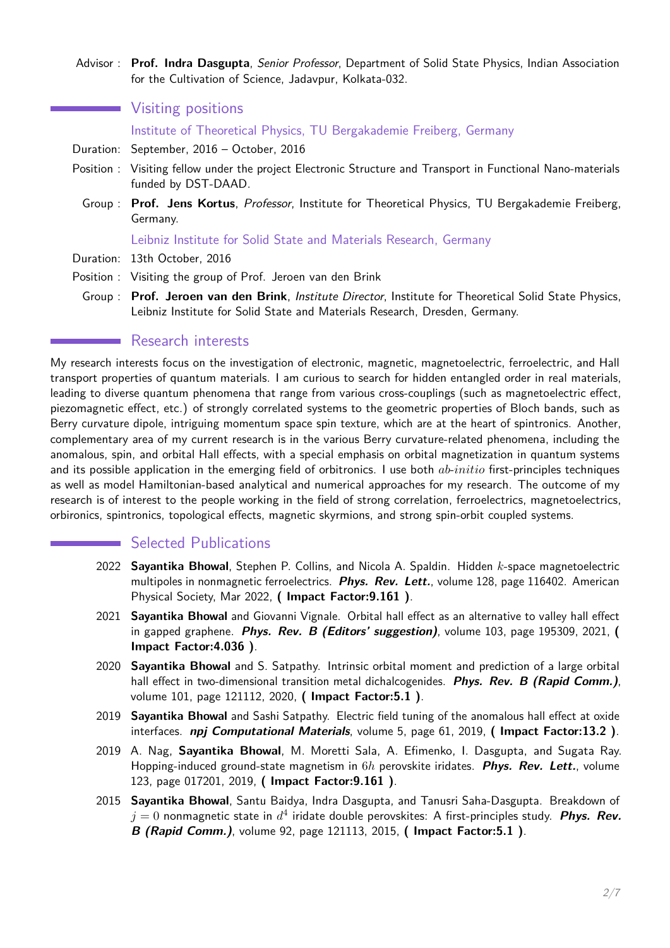Advisor : **[Prof. Indra Dasgupta](http://iacs.res.in/faculty-profile.html?id=76)**, Senior Professor, Department of Solid State Physics, Indian Association for the Cultivation of Science, Jadavpur, Kolkata-032.

**Wisiting positions** 

Institute of Theoretical Physics, TU Bergakademie Freiberg, Germany

- Duration: September, 2016 October, 2016
- Position : Visiting fellow under the project Electronic Structure and Transport in Functional Nano-materials funded by DST-DAAD.
	- Group : **[Prof. Jens Kortus](https://tu-freiberg.de/fakult2/thph/jens-kortus)**, Professor, Institute for Theoretical Physics, TU Bergakademie Freiberg, Germany.

#### Leibniz Institute for Solid State and Materials Research, Germany

- Duration: 13th October, 2016
- Position : Visiting the group of Prof. Jeroen van den Brink
	- Group : **[Prof. Jeroen van den Brink](https://www.ifw-dresden.de/ifw-institutes/itf/home/prof-dr-jeroen-van-den-brink)**, Institute Director, Institute for Theoretical Solid State Physics, Leibniz Institute for Solid State and Materials Research, Dresden, Germany.

## **Research interests**

My research interests focus on the investigation of electronic, magnetic, magnetoelectric, ferroelectric, and Hall transport properties of quantum materials. I am curious to search for hidden entangled order in real materials, leading to diverse quantum phenomena that range from various cross-couplings (such as magnetoelectric effect, piezomagnetic effect, etc.) of strongly correlated systems to the geometric properties of Bloch bands, such as Berry curvature dipole, intriguing momentum space spin texture, which are at the heart of spintronics. Another, complementary area of my current research is in the various Berry curvature-related phenomena, including the anomalous, spin, and orbital Hall effects, with a special emphasis on orbital magnetization in quantum systems and its possible application in the emerging field of orbitronics. I use both *ab*-*initio* first-principles techniques as well as model Hamiltonian-based analytical and numerical approaches for my research. The outcome of my research is of interest to the people working in the field of strong correlation, ferroelectrics, magnetoelectrics, orbironics, spintronics, topological effects, magnetic skyrmions, and strong spin-orbit coupled systems.

## Selected Publications

- 2022 **Sayantika Bhowal**, Stephen P. Collins, and Nicola A. Spaldin. Hidden *k*-space magnetoelectric multipoles in nonmagnetic ferroelectrics. **Phys. Rev. Lett.**, volume 128, page 116402. American Physical Society, Mar 2022, **( Impact Factor:9.161 )**.
- 2021 **Sayantika Bhowal** and Giovanni Vignale. Orbital hall effect as an alternative to valley hall effect in gapped graphene. **Phys. Rev. B (Editors' suggestion)**, volume 103, page 195309, 2021, **( Impact Factor:4.036 )**.
- 2020 **Sayantika Bhowal** and S. Satpathy. Intrinsic orbital moment and prediction of a large orbital hall effect in two-dimensional transition metal dichalcogenides. **Phys. Rev. B (Rapid Comm.)**, volume 101, page 121112, 2020, **( Impact Factor:5.1 )**.
- 2019 **Sayantika Bhowal** and Sashi Satpathy. Electric field tuning of the anomalous hall effect at oxide interfaces. **npj Computational Materials**, volume 5, page 61, 2019, **( Impact Factor:13.2 )**.
- 2019 A. Nag, **Sayantika Bhowal**, M. Moretti Sala, A. Efimenko, I. Dasgupta, and Sugata Ray. Hopping-induced ground-state magnetism in 6*h* perovskite iridates. **Phys. Rev. Lett.**, volume 123, page 017201, 2019, **( Impact Factor:9.161 )**.
- 2015 **Sayantika Bhowal**, Santu Baidya, Indra Dasgupta, and Tanusri Saha-Dasgupta. Breakdown of  $j=0$  nonmagnetic state in  $d^4$  iridate double perovskites: A first-principles study.  $\bm{\mathit{Phys.}}$   $\bm{\mathit{Rev.}}$ **B (Rapid Comm.)**, volume 92, page 121113, 2015, **( Impact Factor:5.1 )**.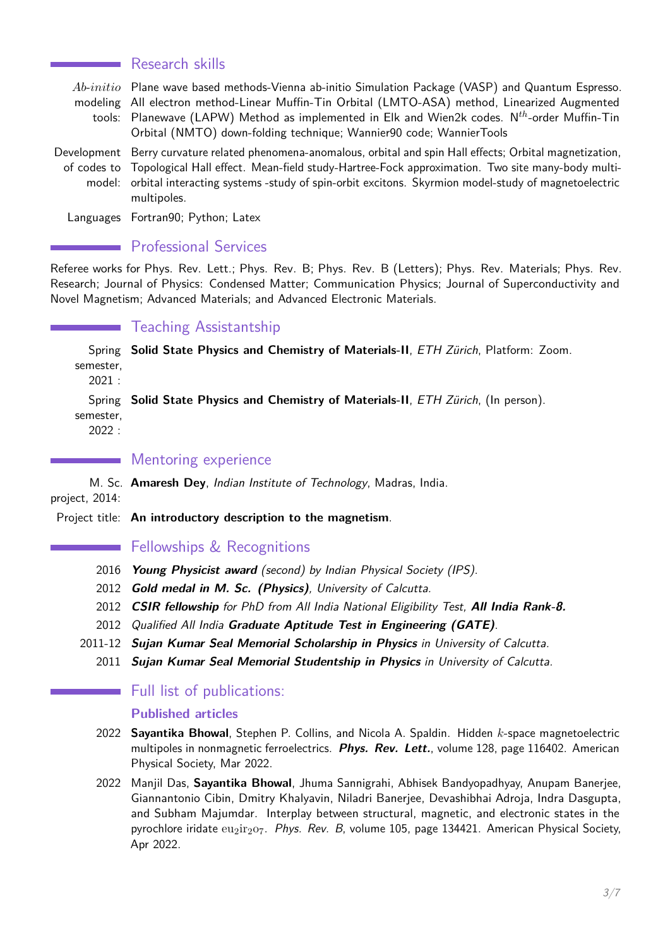#### Research skills

*Ab*-*initio* Plane wave based methods-Vienna ab-initio Simulation Package (VASP) and Quantum Espresso. modeling All electron method-Linear Muffin-Tin Orbital (LMTO-ASA) method, Linearized Augmented tools: Planewave (LAPW) Method as implemented in Elk and Wien2k codes. N*th*-order Muffin-Tin Orbital (NMTO) down-folding technique; Wannier90 code; WannierTools

Development Berry curvature related phenomena-anomalous, orbital and spin Hall effects; Orbital magnetization, of codes to Topological Hall effect. Mean-field study-Hartree-Fock approximation. Two site many-body multimodel: orbital interacting systems -study of spin-orbit excitons. Skyrmion model-study of magnetoelectric multipoles.

Languages Fortran90; Python; Latex

#### **Professional Services**

Referee works for Phys. Rev. Lett.; Phys. Rev. B; Phys. Rev. B (Letters); Phys. Rev. Materials; Phys. Rev. Research; Journal of Physics: Condensed Matter; Communication Physics; Journal of Superconductivity and Novel Magnetism; Advanced Materials; and Advanced Electronic Materials.

### Teaching Assistantship

Spring **Solid State Physics and Chemistry of Materials-II**, ETH Zürich, Platform: Zoom. semester,

2021 :

Spring **Solid State Physics and Chemistry of Materials-II**, ETH Zürich, (In person).

semester,

2022 :

#### Mentoring experience

M. Sc. **Amaresh Dey**, Indian Institute of Technology, Madras, India.

project, 2014:

Project title: **An introductory description to the magnetism**.

### **Fellowships & Recognitions**

- 2016 **Young Physicist award** (second) by Indian Physical Society (IPS).
- 2012 **Gold medal in M. Sc. (Physics)**, University of Calcutta.
- 2012 **CSIR fellowship** for PhD from All India National Eligibility Test, **All India Rank-8.**
- 2012 Qualified All India **Graduate Aptitude Test in Engineering (GATE)**.
- 2011-12 **Sujan Kumar Seal Memorial Scholarship in Physics** in University of Calcutta.
	- 2011 **Sujan Kumar Seal Memorial Studentship in Physics** in University of Calcutta.

### **Full list of publications:**

#### **Published articles**

- 2022 **Sayantika Bhowal**, Stephen P. Collins, and Nicola A. Spaldin. Hidden *k*-space magnetoelectric multipoles in nonmagnetic ferroelectrics. **Phys. Rev. Lett.**, volume 128, page 116402. American Physical Society, Mar 2022.
- 2022 Manjil Das, **Sayantika Bhowal**, Jhuma Sannigrahi, Abhisek Bandyopadhyay, Anupam Banerjee, Giannantonio Cibin, Dmitry Khalyavin, Niladri Banerjee, Devashibhai Adroja, Indra Dasgupta, and Subham Majumdar. Interplay between structural, magnetic, and electronic states in the pyrochlore iridate  $eu_2$ ir<sub>2</sub>o<sub>7</sub>. Phys. Rev. B, volume 105, page 134421. American Physical Society, Apr 2022.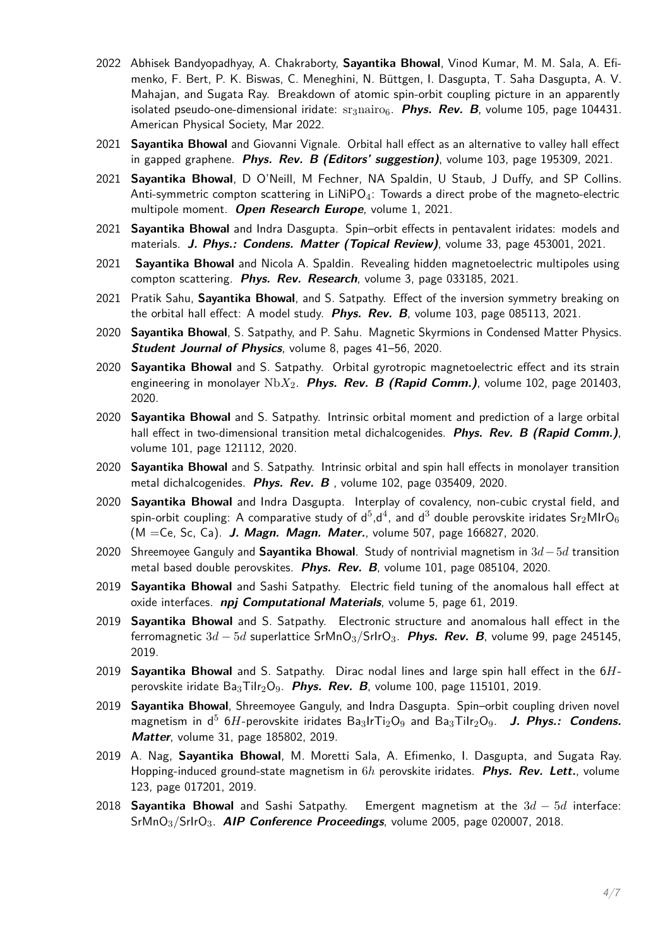- 2022 Abhisek Bandyopadhyay, A. Chakraborty, **Sayantika Bhowal**, Vinod Kumar, M. M. Sala, A. Efimenko, F. Bert, P. K. Biswas, C. Meneghini, N. Büttgen, I. Dasgupta, T. Saha Dasgupta, A. V. Mahajan, and Sugata Ray. Breakdown of atomic spin-orbit coupling picture in an apparently isolated pseudo-one-dimensional iridate:  $\frac{\text{sr}_3 \cdot \text{r}_4}{\text{sr}_4 \cdot \text{r}_5}$  **Phys. Rev. B**, volume 105, page 104431. American Physical Society, Mar 2022.
- 2021 **Sayantika Bhowal** and Giovanni Vignale. Orbital hall effect as an alternative to valley hall effect in gapped graphene. **Phys. Rev. B (Editors' suggestion)**, volume 103, page 195309, 2021.
- 2021 **Sayantika Bhowal**, D O'Neill, M Fechner, NA Spaldin, U Staub, J Duffy, and SP Collins. Anti-symmetric compton scattering in  $LiNiPO<sub>4</sub>$ : Towards a direct probe of the magneto-electric multipole moment. **Open Research Europe**, volume 1, 2021.
- 2021 **Sayantika Bhowal** and Indra Dasgupta. Spin–orbit effects in pentavalent iridates: models and materials. **J. Phys.: Condens. Matter (Topical Review)**, volume 33, page 453001, 2021.
- 2021 **Sayantika Bhowal** and Nicola A. Spaldin. Revealing hidden magnetoelectric multipoles using compton scattering. **Phys. Rev. Research**, volume 3, page 033185, 2021.
- 2021 Pratik Sahu, **Sayantika Bhowal**, and S. Satpathy. Effect of the inversion symmetry breaking on the orbital hall effect: A model study. **Phys. Rev. B**, volume 103, page 085113, 2021.
- 2020 **Sayantika Bhowal**, S. Satpathy, and P. Sahu. Magnetic Skyrmions in Condensed Matter Physics. **Student Journal of Physics**, volume 8, pages 41–56, 2020.
- 2020 **Sayantika Bhowal** and S. Satpathy. Orbital gyrotropic magnetoelectric effect and its strain engineering in monolayer Nb*X*2. **Phys. Rev. B (Rapid Comm.)**, volume 102, page 201403, 2020.
- 2020 **Sayantika Bhowal** and S. Satpathy. Intrinsic orbital moment and prediction of a large orbital hall effect in two-dimensional transition metal dichalcogenides. **Phys. Rev. B (Rapid Comm.)**, volume 101, page 121112, 2020.
- 2020 **Sayantika Bhowal** and S. Satpathy. Intrinsic orbital and spin hall effects in monolayer transition metal dichalcogenides. **Phys. Rev. B** , volume 102, page 035409, 2020.
- 2020 **Sayantika Bhowal** and Indra Dasgupta. Interplay of covalency, non-cubic crystal field, and spin-orbit coupling: A comparative study of  $\sf d^5,\sf d^4$ , and  $\sf d^3$  double perovskite iridates  $\sf Sr_2MIrO_6$ (M =Ce, Sc, Ca). **J. Magn. Magn. Mater.**, volume 507, page 166827, 2020.
- 2020 Shreemoyee Ganguly and **Sayantika Bhowal**. Study of nontrivial magnetism in 3*d*−5*d* transition metal based double perovskites. **Phys. Rev. B**, volume 101, page 085104, 2020.
- 2019 **Sayantika Bhowal** and Sashi Satpathy. Electric field tuning of the anomalous hall effect at oxide interfaces. **npj Computational Materials**, volume 5, page 61, 2019.
- 2019 **Sayantika Bhowal** and S. Satpathy. Electronic structure and anomalous hall effect in the ferromagnetic 3*d* − 5*d* superlattice SrMnO3/SrIrO3. **Phys. Rev. B**, volume 99, page 245145, 2019.
- 2019 **Sayantika Bhowal** and S. Satpathy. Dirac nodal lines and large spin hall effect in the 6*H*perovskite iridate Ba<sub>3</sub>Tilr<sub>2</sub>O<sub>9</sub>. **Phys. Rev. B**, volume 100, page 115101, 2019.
- 2019 **Sayantika Bhowal**, Shreemoyee Ganguly, and Indra Dasgupta. Spin–orbit coupling driven novel magnetism in d<sup>5</sup> 6H-perovskite iridates Ba<sub>3</sub>IrTi<sub>2</sub>O<sub>9</sub> and Ba<sub>3</sub>Tilr<sub>2</sub>O<sub>9</sub>. J. Phys.: Condens. **Matter**, volume 31, page 185802, 2019.
- 2019 A. Nag, **Sayantika Bhowal**, M. Moretti Sala, A. Efimenko, I. Dasgupta, and Sugata Ray. Hopping-induced ground-state magnetism in 6*h* perovskite iridates. **Phys. Rev. Lett.**, volume 123, page 017201, 2019.
- 2018 **Sayantika Bhowal** and Sashi Satpathy. Emergent magnetism at the 3*d* − 5*d* interface: SrMnO3/SrIrO3. **AIP Conference Proceedings**, volume 2005, page 020007, 2018.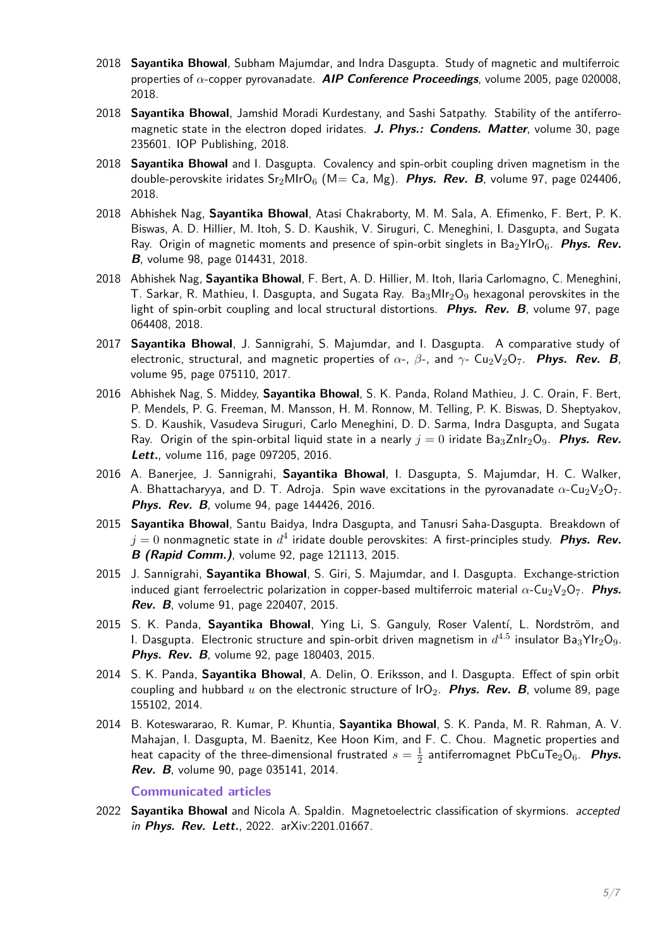- 2018 **Sayantika Bhowal**, Subham Majumdar, and Indra Dasgupta. Study of magnetic and multiferroic properties of *α*-copper pyrovanadate. **AIP Conference Proceedings**, volume 2005, page 020008, 2018.
- 2018 **Sayantika Bhowal**, Jamshid Moradi Kurdestany, and Sashi Satpathy. Stability of the antiferromagnetic state in the electron doped iridates. **J. Phys.: Condens. Matter**, volume 30, page 235601. IOP Publishing, 2018.
- 2018 **Sayantika Bhowal** and I. Dasgupta. Covalency and spin-orbit coupling driven magnetism in the double-perovskite iridates  $Sr_2MIrO_6$  (M= Ca, Mg). **Phys. Rev. B**, volume 97, page 024406, 2018.
- 2018 Abhishek Nag, **Sayantika Bhowal**, Atasi Chakraborty, M. M. Sala, A. Efimenko, F. Bert, P. K. Biswas, A. D. Hillier, M. Itoh, S. D. Kaushik, V. Siruguri, C. Meneghini, I. Dasgupta, and Sugata Ray. Origin of magnetic moments and presence of spin-orbit singlets in Ba<sub>2</sub>YIrO<sub>6</sub>. Phys. Rev. **B**, volume 98, page 014431, 2018.
- 2018 Abhishek Nag, **Sayantika Bhowal**, F. Bert, A. D. Hillier, M. Itoh, Ilaria Carlomagno, C. Meneghini, T. Sarkar, R. Mathieu, I. Dasgupta, and Sugata Ray.  $Ba_3MIr_2O_9$  hexagonal perovskites in the light of spin-orbit coupling and local structural distortions. **Phys. Rev. B**, volume 97, page 064408, 2018.
- 2017 **Sayantika Bhowal**, J. Sannigrahi, S. Majumdar, and I. Dasgupta. A comparative study of electronic, structural, and magnetic properties of  $\alpha$ -,  $\beta$ -, and  $\gamma$ - Cu<sub>2</sub>V<sub>2</sub>O<sub>7</sub>. **Phys. Rev. B**, volume 95, page 075110, 2017.
- 2016 Abhishek Nag, S. Middey, **Sayantika Bhowal**, S. K. Panda, Roland Mathieu, J. C. Orain, F. Bert, P. Mendels, P. G. Freeman, M. Mansson, H. M. Ronnow, M. Telling, P. K. Biswas, D. Sheptyakov, S. D. Kaushik, Vasudeva Siruguri, Carlo Meneghini, D. D. Sarma, Indra Dasgupta, and Sugata Ray. Origin of the spin-orbital liquid state in a nearly  $j = 0$  iridate Ba<sub>3</sub>ZnIr<sub>2</sub>O<sub>9</sub>. **Phys. Rev. Lett.**, volume 116, page 097205, 2016.
- 2016 A. Banerjee, J. Sannigrahi, **Sayantika Bhowal**, I. Dasgupta, S. Majumdar, H. C. Walker, A. Bhattacharyya, and D. T. Adroja. Spin wave excitations in the pyrovanadate  $\alpha$ -Cu<sub>2</sub>V<sub>2</sub>O<sub>7</sub>. **Phys. Rev. B**, volume 94, page 144426, 2016.
- 2015 **Sayantika Bhowal**, Santu Baidya, Indra Dasgupta, and Tanusri Saha-Dasgupta. Breakdown of  $j=0$  nonmagnetic state in  $d^4$  iridate double perovskites: A first-principles study.  $\bm{\mathit{Phys.}}$   $\bm{\mathit{Rev.}}$ **B (Rapid Comm.)**, volume 92, page 121113, 2015.
- 2015 J. Sannigrahi, **Sayantika Bhowal**, S. Giri, S. Majumdar, and I. Dasgupta. Exchange-striction induced giant ferroelectric polarization in copper-based multiferroic material  $\alpha$ -Cu<sub>2</sub>V<sub>2</sub>O<sub>7</sub>. **Phys. Rev. B**, volume 91, page 220407, 2015.
- 2015 S. K. Panda, **Sayantika Bhowal**, Ying Li, S. Ganguly, Roser Valentí, L. Nordström, and I. Dasgupta. Electronic structure and spin-orbit driven magnetism in  $d^{4.5}$  insulator Ba $_3$ YIr $_2$ O $_9$ . **Phys. Rev. B**, volume 92, page 180403, 2015.
- 2014 S. K. Panda, **Sayantika Bhowal**, A. Delin, O. Eriksson, and I. Dasgupta. Effect of spin orbit coupling and hubbard  $u$  on the electronic structure of  $I_1 \cdot O_2$ . **Phys. Rev. B**, volume 89, page 155102, 2014.
- 2014 B. Koteswararao, R. Kumar, P. Khuntia, **Sayantika Bhowal**, S. K. Panda, M. R. Rahman, A. V. Mahajan, I. Dasgupta, M. Baenitz, Kee Hoon Kim, and F. C. Chou. Magnetic properties and heat capacity of the three-dimensional frustrated  $s=\frac{1}{2}$  $\frac{1}{2}$  antiferromagnet PbCuTe $_2$ O<sub>6</sub>. **Phys. Rev. B**, volume 90, page 035141, 2014.

#### **Communicated articles**

2022 **Sayantika Bhowal** and Nicola A. Spaldin. Magnetoelectric classification of skyrmions. accepted in **Phys. Rev. Lett.**, 2022. arXiv:2201.01667.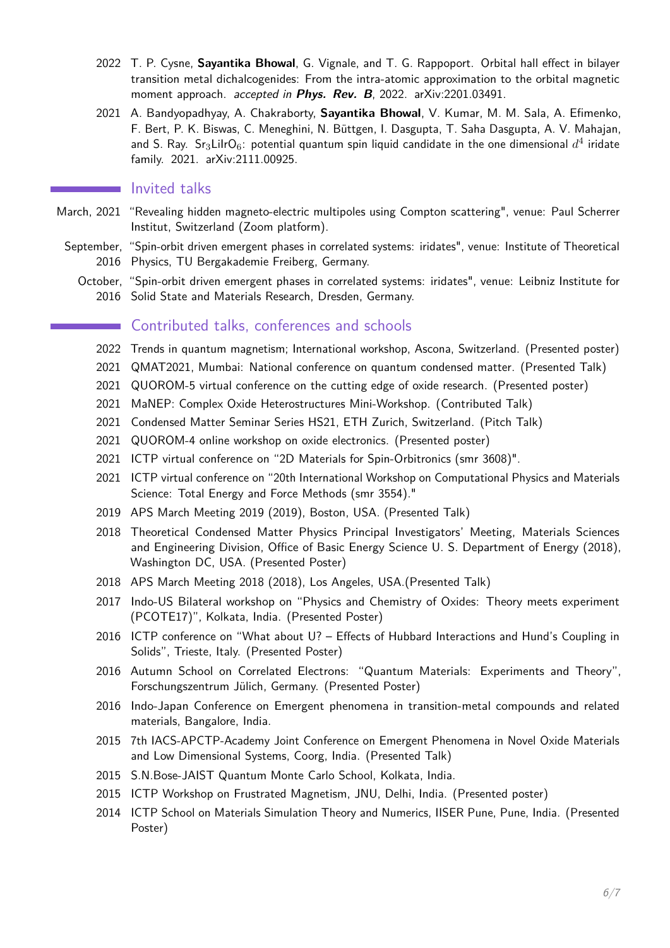- 2022 T. P. Cysne, **Sayantika Bhowal**, G. Vignale, and T. G. Rappoport. Orbital hall effect in bilayer transition metal dichalcogenides: From the intra-atomic approximation to the orbital magnetic moment approach. accepted in **Phys. Rev. B**, 2022. arXiv:2201.03491.
- 2021 A. Bandyopadhyay, A. Chakraborty, **Sayantika Bhowal**, V. Kumar, M. M. Sala, A. Efimenko, F. Bert, P. K. Biswas, C. Meneghini, N. Büttgen, I. Dasgupta, T. Saha Dasgupta, A. V. Mahajan, and S. Ray.  $\,\mathsf{S}r_3$ Lilr $\mathsf{O}_6$ : potential quantum spin liquid candidate in the one dimensional  $d^4$  iridate family. 2021. arXiv:2111.00925.

#### Invited talks

- March, 2021 "Revealing hidden magneto-electric multipoles using Compton scattering", venue: Paul Scherrer Institut, Switzerland (Zoom platform).
	- September, "Spin-orbit driven emergent phases in correlated systems: iridates", venue: Institute of Theoretical 2016 Physics, TU Bergakademie Freiberg, Germany.
		- October, "Spin-orbit driven emergent phases in correlated systems: iridates", venue: Leibniz Institute for 2016 Solid State and Materials Research, Dresden, Germany.

#### Contributed talks, conferences and schools

- <span id="page-5-0"></span>2022 Trends in quantum magnetism; International workshop, Ascona, Switzerland. (Presented poster)
- 2021 QMAT2021, Mumbai: National conference on quantum condensed matter. (Presented Talk)
- 2021 QUOROM-5 virtual conference on the cutting edge of oxide research. (Presented poster)
- 2021 MaNEP: Complex Oxide Heterostructures Mini-Workshop. (Contributed Talk)
- 2021 Condensed Matter Seminar Series HS21, ETH Zurich, Switzerland. (Pitch Talk)
- 2021 QUOROM-4 online workshop on oxide electronics. (Presented poster)
- 2021 ICTP virtual conference on "2D Materials for Spin-Orbitronics (smr 3608)".
- 2021 ICTP virtual conference on "20th International Workshop on Computational Physics and Materials Science: Total Energy and Force Methods (smr 3554)."
- 2019 APS March Meeting 2019 (2019), Boston, USA. (Presented Talk)
- 2018 Theoretical Condensed Matter Physics Principal Investigators' Meeting, Materials Sciences and Engineering Division, Office of Basic Energy Science U. S. Department of Energy (2018), Washington DC, USA. (Presented Poster)
- 2018 APS March Meeting 2018 (2018), Los Angeles, USA.(Presented Talk)
- 2017 Indo-US Bilateral workshop on "Physics and Chemistry of Oxides: Theory meets experiment (PCOTE17)", Kolkata, India. (Presented Poster)
- 2016 ICTP conference on "What about U? Effects of Hubbard Interactions and Hund's Coupling in Solids", Trieste, Italy. (Presented Poster)
- 2016 Autumn School on Correlated Electrons: "Quantum Materials: Experiments and Theory", Forschungszentrum Jülich, Germany. (Presented Poster)
- 2016 Indo-Japan Conference on Emergent phenomena in transition-metal compounds and related materials, Bangalore, India.
- 2015 7th IACS-APCTP-Academy Joint Conference on Emergent Phenomena in Novel Oxide Materials and Low Dimensional Systems, Coorg, India. (Presented Talk)
- 2015 S.N.Bose-JAIST Quantum Monte Carlo School, Kolkata, India.
- 2015 ICTP Workshop on Frustrated Magnetism, JNU, Delhi, India. (Presented poster)
- 2014 ICTP School on Materials Simulation Theory and Numerics, IISER Pune, Pune, India. (Presented Poster)